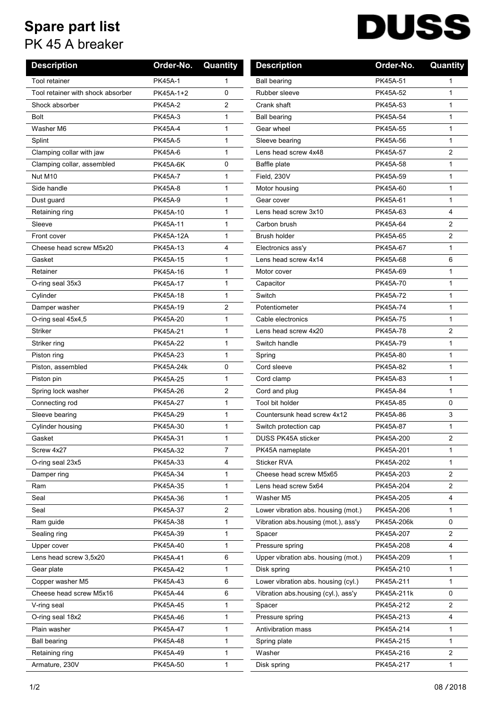## **Spare part list**

PK 45 A breaker

## **DUSS**

| <b>Description</b>                | Order-No.        | Quantity       | <b>Description</b>                  | Order-No.  | Quantity       |
|-----------------------------------|------------------|----------------|-------------------------------------|------------|----------------|
| Tool retainer                     | <b>PK45A-1</b>   | $\mathbf{1}$   | <b>Ball bearing</b>                 | PK45A-51   | $\mathbf 1$    |
| Tool retainer with shock absorber | PK45A-1+2        | 0              | Rubber sleeve                       | PK45A-52   | $\mathbf{1}$   |
| Shock absorber                    | <b>PK45A-2</b>   | $\overline{2}$ | Crank shaft                         | PK45A-53   | $\mathbf{1}$   |
| Bolt                              | <b>PK45A-3</b>   | 1              | <b>Ball bearing</b>                 | PK45A-54   | $\mathbf{1}$   |
| Washer M6                         | <b>PK45A-4</b>   | $\mathbf{1}$   | Gear wheel                          | PK45A-55   | $\mathbf{1}$   |
| Splint                            | <b>PK45A-5</b>   | $\mathbf{1}$   | Sleeve bearing                      | PK45A-56   | $\mathbf{1}$   |
| Clamping collar with jaw          | <b>PK45A-6</b>   | $\mathbf{1}$   | Lens head screw 4x48                | PK45A-57   | 2              |
| Clamping collar, assembled        | <b>PK45A-6K</b>  | 0              | Baffle plate                        | PK45A-58   | $\mathbf{1}$   |
| Nut M10                           | <b>PK45A-7</b>   | $\mathbf{1}$   | Field, 230V                         | PK45A-59   | $\mathbf{1}$   |
| Side handle                       | <b>PK45A-8</b>   | $\mathbf{1}$   | Motor housing                       | PK45A-60   | $\mathbf{1}$   |
| Dust guard                        | <b>PK45A-9</b>   | $\mathbf{1}$   | Gear cover                          | PK45A-61   | $\mathbf{1}$   |
| Retaining ring                    | PK45A-10         | $\mathbf{1}$   | Lens head screw 3x10                | PK45A-63   | 4              |
| Sleeve                            | PK45A-11         | $\mathbf{1}$   | Carbon brush                        | PK45A-64   | 2              |
| Front cover                       | <b>PK45A-12A</b> | $\mathbf{1}$   | <b>Brush holder</b>                 | PK45A-65   | $\overline{2}$ |
| Cheese head screw M5x20           | PK45A-13         | 4              | Electronics ass'y                   | PK45A-67   | $\mathbf{1}$   |
| Gasket                            | PK45A-15         | $\mathbf{1}$   | Lens head screw 4x14                | PK45A-68   | 6              |
| Retainer                          | PK45A-16         | $\mathbf{1}$   | Motor cover                         | PK45A-69   | $\mathbf{1}$   |
| O-ring seal 35x3                  | PK45A-17         | $\mathbf{1}$   | Capacitor                           | PK45A-70   | $\mathbf{1}$   |
| Cylinder                          | PK45A-18         | $\mathbf{1}$   | Switch                              | PK45A-72   | $\mathbf{1}$   |
| Damper washer                     | PK45A-19         | 2              | Potentiometer                       | PK45A-74   | $\mathbf{1}$   |
| O-ring seal 45x4,5                | PK45A-20         | $\mathbf{1}$   | Cable electronics                   | PK45A-75   | $\mathbf{1}$   |
| <b>Striker</b>                    | PK45A-21         | $\mathbf{1}$   | Lens head screw 4x20                | PK45A-78   | 2              |
| Striker ring                      | PK45A-22         | $\mathbf{1}$   | Switch handle                       | PK45A-79   | $\mathbf{1}$   |
| Piston ring                       | PK45A-23         | $\mathbf{1}$   | Spring                              | PK45A-80   | $\mathbf{1}$   |
| Piston, assembled                 | PK45A-24k        | 0              | Cord sleeve                         | PK45A-82   | $\mathbf{1}$   |
| Piston pin                        | PK45A-25         | $\mathbf{1}$   | Cord clamp                          | PK45A-83   | $\mathbf{1}$   |
| Spring lock washer                | PK45A-26         | 2              | Cord and plug                       | PK45A-84   | $\mathbf{1}$   |
| Connecting rod                    | PK45A-27         | $\mathbf{1}$   | Tool bit holder                     | PK45A-85   | 0              |
| Sleeve bearing                    | PK45A-29         | $\mathbf{1}$   | Countersunk head screw 4x12         | PK45A-86   | 3              |
| Cylinder housing                  | PK45A-30         | $\mathbf{1}$   | Switch protection cap               | PK45A-87   | $\mathbf{1}$   |
| Gasket                            | PK45A-31         | $\mathbf{1}$   | <b>DUSS PK45A sticker</b>           | PK45A-200  | 2              |
| Screw 4x27                        | PK45A-32         | $\overline{7}$ | PK45A nameplate                     | PK45A-201  | $\mathbf{1}$   |
| O-ring seal 23x5                  | PK45A-33         | 4              | <b>Sticker RVA</b>                  | PK45A-202  | $\mathbf{1}$   |
| Damper ring                       | PK45A-34         | 1              | Cheese head screw M5x65             | PK45A-203  | 2              |
| Ram                               | PK45A-35         | 1              | Lens head screw 5x64                | PK45A-204  | 2              |
| Seal                              | PK45A-36         | $\mathbf{1}$   | Washer M5                           | PK45A-205  | 4              |
| Seal                              | PK45A-37         | $\overline{2}$ | Lower vibration abs. housing (mot.) | PK45A-206  | $\mathbf 1$    |
| Ram guide                         | PK45A-38         | 1              | Vibration abs.housing (mot.), ass'y | PK45A-206k | 0              |
| Sealing ring                      | PK45A-39         | 1              | Spacer                              | PK45A-207  | 2              |
| Upper cover                       | PK45A-40         | 1              | Pressure spring                     | PK45A-208  | 4              |
| Lens head screw 3,5x20            | PK45A-41         | 6              | Upper vibration abs. housing (mot.) | PK45A-209  | 1              |
| Gear plate                        | PK45A-42         | $\mathbf{1}$   | Disk spring                         | PK45A-210  | $\mathbf{1}$   |
| Copper washer M5                  | PK45A-43         | 6              | Lower vibration abs. housing (cyl.) | PK45A-211  | $\mathbf{1}$   |
| Cheese head screw M5x16           | PK45A-44         | 6              | Vibration abs housing (cyl.), ass'y | PK45A-211k | 0              |
| V-ring seal                       | PK45A-45         | $\mathbf{1}$   | Spacer                              | PK45A-212  | 2              |
| O-ring seal 18x2                  | PK45A-46         | 1              | Pressure spring                     | PK45A-213  | 4              |
| Plain washer                      | PK45A-47         | 1              | Antivibration mass                  | PK45A-214  | 1              |
| <b>Ball bearing</b>               | PK45A-48         | $\mathbf{1}$   | Spring plate                        | PK45A-215  | $\mathbf{1}$   |
| Retaining ring                    | PK45A-49         | 1              | Washer                              | PK45A-216  | $\overline{2}$ |
| Armature, 230V                    | PK45A-50         | 1              | Disk spring                         | PK45A-217  | 1              |
|                                   |                  |                |                                     |            |                |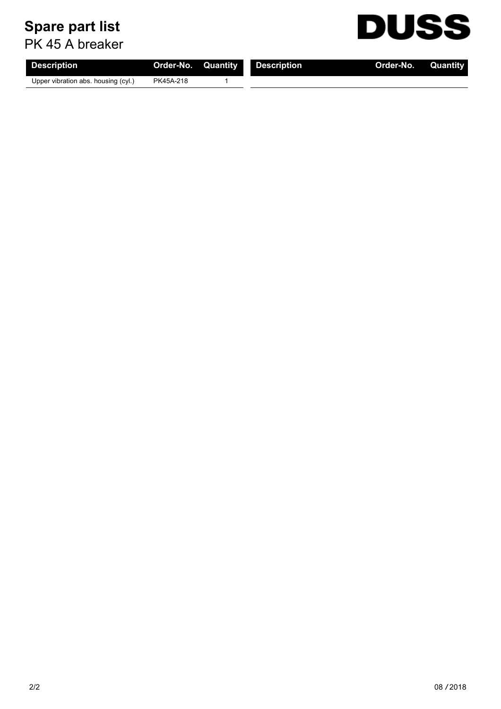## **Spare part list**

PK 45 A breaker

| <b>Description</b>                  | <b>Order-No. Quantity</b> | Description | <b>Order-No.</b> Quantity |  |
|-------------------------------------|---------------------------|-------------|---------------------------|--|
| Upper vibration abs. housing (cyl.) | PK45A-218                 |             |                           |  |

**DUSS**